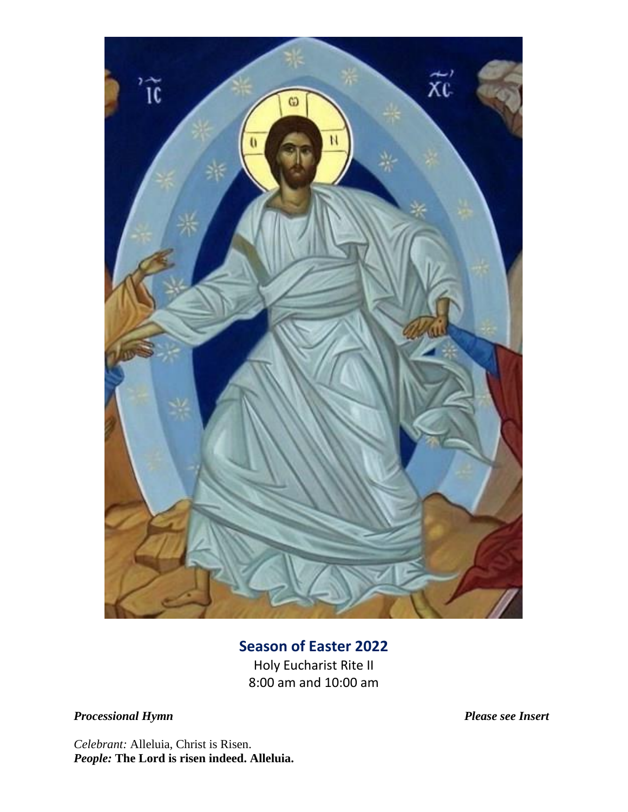

# **Season of Easter 2022**

Holy Eucharist Rite II 8:00 am and 10:00 am

*Processional Hymn Please see Insert*

*Celebrant:* Alleluia, Christ is Risen. *People:* **The Lord is risen indeed. Alleluia.**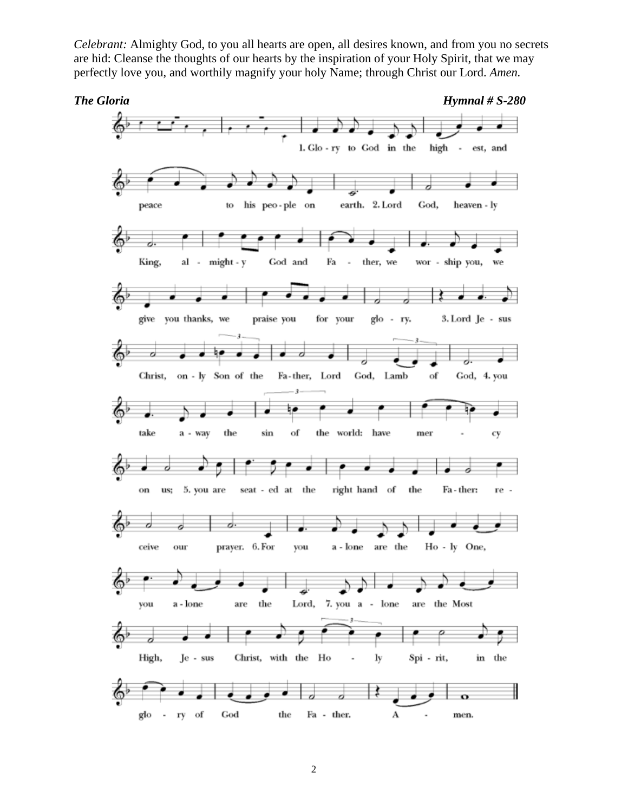*Celebrant:* Almighty God, to you all hearts are open, all desires known, and from you no secrets are hid: Cleanse the thoughts of our hearts by the inspiration of your Holy Spirit, that we may perfectly love you, and worthily magnify your holy Name; through Christ our Lord. *Amen.*

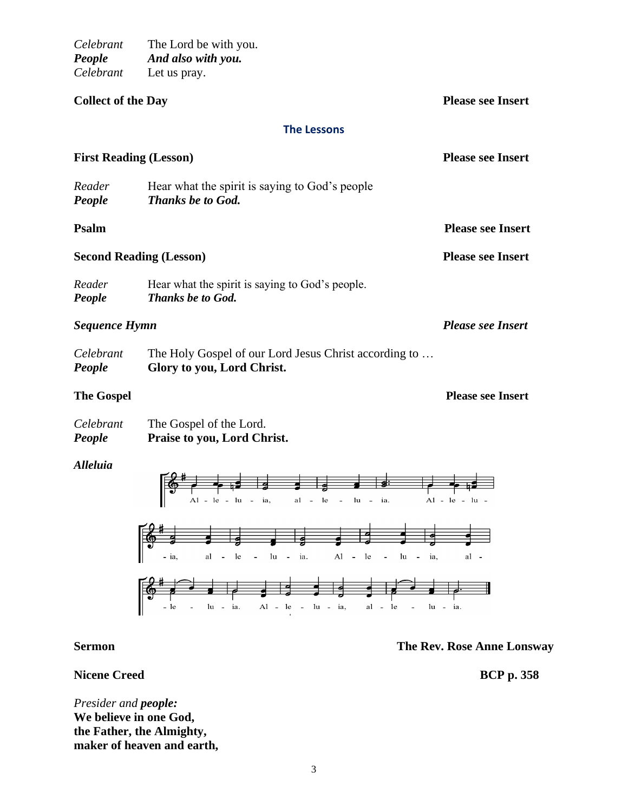*Celebrant* The Lord be with you. *People And also with you. Celebrant* Let us pray.

| <b>Collect of the Day</b>      | <b>Please see Insert</b>                                                            |                          |  |  |
|--------------------------------|-------------------------------------------------------------------------------------|--------------------------|--|--|
| <b>The Lessons</b>             |                                                                                     |                          |  |  |
| <b>First Reading (Lesson)</b>  |                                                                                     | <b>Please see Insert</b> |  |  |
| Reader<br>People               | Hear what the spirit is saying to God's people<br><b>Thanks be to God.</b>          |                          |  |  |
| <b>Psalm</b>                   |                                                                                     | <b>Please see Insert</b> |  |  |
| <b>Second Reading (Lesson)</b> |                                                                                     | <b>Please see Insert</b> |  |  |
| Reader<br>People               | Hear what the spirit is saying to God's people.<br><b>Thanks be to God.</b>         |                          |  |  |
|                                | <b>Sequence Hymn</b>                                                                |                          |  |  |
| Celebrant<br>People            | The Holy Gospel of our Lord Jesus Christ according to<br>Glory to you, Lord Christ. |                          |  |  |
| <b>The Gospel</b>              |                                                                                     | <b>Please see Insert</b> |  |  |

| People    | Praise to you, Lord Christ. |
|-----------|-----------------------------|
| Celebrant | The Gospel of the Lord.     |

# *Alleluia*



**Sermon The Rev. Rose Anne Lonsway**

**Nicene Creed BCP p. 358** 

*Presider and people:* **We believe in one God, the Father, the Almighty, maker of heaven and earth,**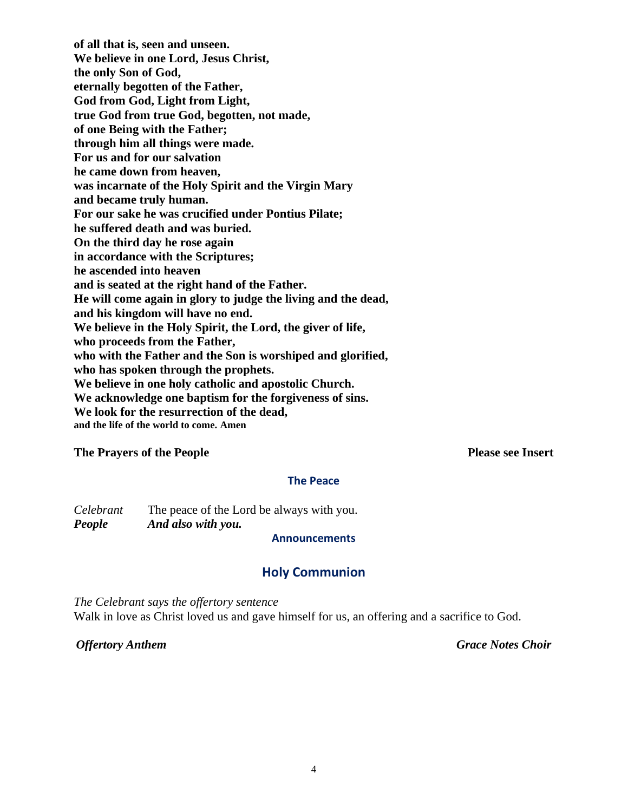**of all that is, seen and unseen. We believe in one Lord, Jesus Christ, the only Son of God, eternally begotten of the Father, God from God, Light from Light, true God from true God, begotten, not made, of one Being with the Father; through him all things were made. For us and for our salvation he came down from heaven, was incarnate of the Holy Spirit and the Virgin Mary and became truly human. For our sake he was crucified under Pontius Pilate; he suffered death and was buried. On the third day he rose again in accordance with the Scriptures; he ascended into heaven and is seated at the right hand of the Father. He will come again in glory to judge the living and the dead, and his kingdom will have no end. We believe in the Holy Spirit, the Lord, the giver of life, who proceeds from the Father, who with the Father and the Son is worshiped and glorified, who has spoken through the prophets. We believe in one holy catholic and apostolic Church. We acknowledge one baptism for the forgiveness of sins. We look for the resurrection of the dead, and the life of the world to come. Amen**

### **The Prayers of the People Please see Insert**

#### **The Peace**

*Celebrant* The peace of the Lord be always with you. *People And also with you.* 

#### **Announcements**

# **Holy Communion**

*The Celebrant says the offertory sentence* Walk in love as Christ loved us and gave himself for us, an offering and a sacrifice to God.

*Offertory Anthem Grace Notes Choir*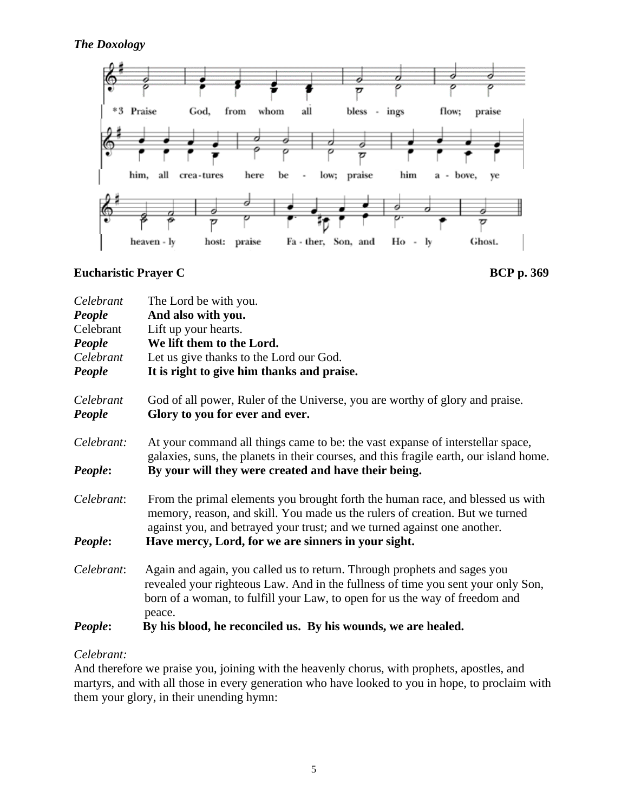

# **Eucharistic Prayer C** BCP p. 369



| Celebrant           | The Lord be with you.                                                                                                                                                                                                                                 |
|---------------------|-------------------------------------------------------------------------------------------------------------------------------------------------------------------------------------------------------------------------------------------------------|
| People              | And also with you.                                                                                                                                                                                                                                    |
| Celebrant           | Lift up your hearts.                                                                                                                                                                                                                                  |
| People              | We lift them to the Lord.                                                                                                                                                                                                                             |
| Celebrant           | Let us give thanks to the Lord our God.                                                                                                                                                                                                               |
| People              | It is right to give him thanks and praise.                                                                                                                                                                                                            |
| Celebrant<br>People | God of all power, Ruler of the Universe, you are worthy of glory and praise.<br>Glory to you for ever and ever.                                                                                                                                       |
| Celebrant:          | At your command all things came to be: the vast expanse of interstellar space,<br>galaxies, suns, the planets in their courses, and this fragile earth, our island home.                                                                              |
| People:             | By your will they were created and have their being.                                                                                                                                                                                                  |
| Celebrant:          | From the primal elements you brought forth the human race, and blessed us with<br>memory, reason, and skill. You made us the rulers of creation. But we turned<br>against you, and betrayed your trust; and we turned against one another.            |
| People:             | Have mercy, Lord, for we are sinners in your sight.                                                                                                                                                                                                   |
| Celebrant:          | Again and again, you called us to return. Through prophets and sages you<br>revealed your righteous Law. And in the fullness of time you sent your only Son,<br>born of a woman, to fulfill your Law, to open for us the way of freedom and<br>peace. |
| People:             | By his blood, he reconciled us. By his wounds, we are healed.                                                                                                                                                                                         |

# *Celebrant:*

And therefore we praise you, joining with the heavenly chorus, with prophets, apostles, and martyrs, and with all those in every generation who have looked to you in hope, to proclaim with them your glory, in their unending hymn: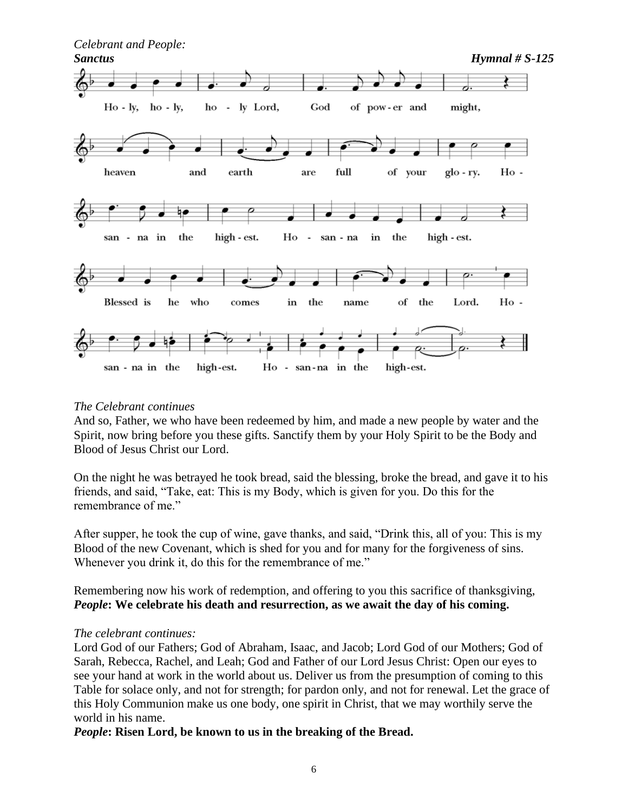

### *The Celebrant continues*

And so, Father, we who have been redeemed by him, and made a new people by water and the Spirit, now bring before you these gifts. Sanctify them by your Holy Spirit to be the Body and Blood of Jesus Christ our Lord.

On the night he was betrayed he took bread, said the blessing, broke the bread, and gave it to his friends, and said, "Take, eat: This is my Body, which is given for you. Do this for the remembrance of me."

After supper, he took the cup of wine, gave thanks, and said, "Drink this, all of you: This is my Blood of the new Covenant, which is shed for you and for many for the forgiveness of sins. Whenever you drink it, do this for the remembrance of me."

Remembering now his work of redemption, and offering to you this sacrifice of thanksgiving, *People***: We celebrate his death and resurrection, as we await the day of his coming.**

### *The celebrant continues:*

Lord God of our Fathers; God of Abraham, Isaac, and Jacob; Lord God of our Mothers; God of Sarah, Rebecca, Rachel, and Leah; God and Father of our Lord Jesus Christ: Open our eyes to see your hand at work in the world about us. Deliver us from the presumption of coming to this Table for solace only, and not for strength; for pardon only, and not for renewal. Let the grace of this Holy Communion make us one body, one spirit in Christ, that we may worthily serve the world in his name.

*People***: Risen Lord, be known to us in the breaking of the Bread.**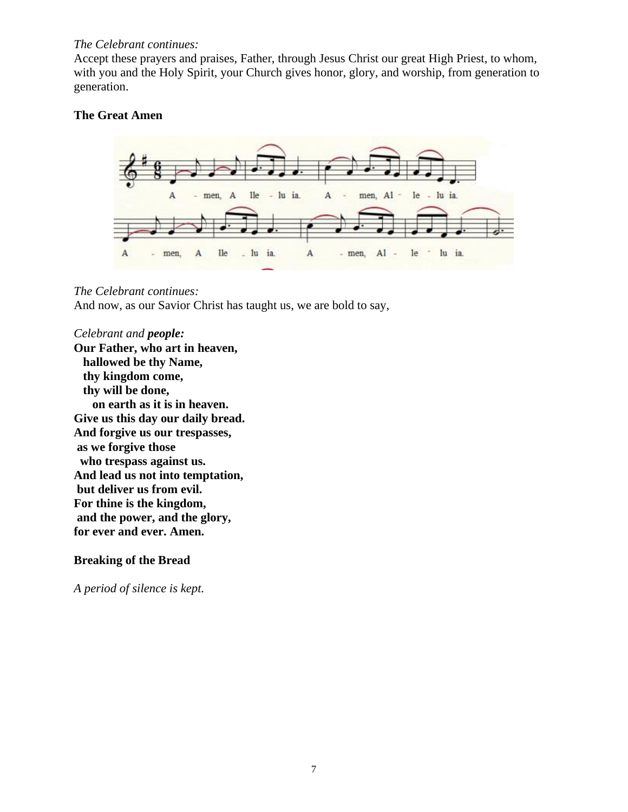#### *The Celebrant continues:*

Accept these prayers and praises, Father, through Jesus Christ our great High Priest, to whom, with you and the Holy Spirit, your Church gives honor, glory, and worship, from generation to generation.

# **The Great Amen**



### *The Celebrant continues:*

And now, as our Savior Christ has taught us, we are bold to say,

### *Celebrant and people:*

**Our Father, who art in heaven, hallowed be thy Name, thy kingdom come, thy will be done, on earth as it is in heaven. Give us this day our daily bread. And forgive us our trespasses, as we forgive those who trespass against us. And lead us not into temptation, but deliver us from evil. For thine is the kingdom, and the power, and the glory, for ever and ever. Amen.**

# **Breaking of the Bread**

*A period of silence is kept.*